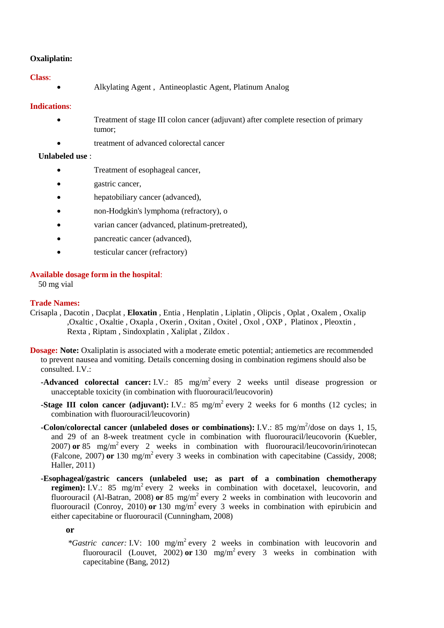# **Oxaliplatin:**

### **Class**:

Alkylating Agent , Antineoplastic Agent, Platinum Analog

# **Indications**:

- Treatment of stage III colon cancer (adjuvant) after complete resection of primary tumor;
	- treatment of advanced colorectal cancer

## **Unlabeled use** :

- Treatment of esophageal cancer,
- gastric cancer,
- hepatobiliary cancer (advanced),
- non-Hodgkin's lymphoma (refractory), o
- varian cancer (advanced, platinum-pretreated),
- pancreatic cancer (advanced),
- testicular cancer (refractory)

# **Available dosage form in the hospital**:

50 mg vial

### **Trade Names:**

- Crisapla , Dacotin , Dacplat , **Eloxatin** , Entia , Henplatin , Liplatin , Olipcis , Oplat , Oxalem , Oxalip ,Oxaltic , Oxaltie , Oxapla , Oxerin , Oxitan , Oxitel , Oxol , OXP , Platinox , Pleoxtin , Rexta , Riptam , Sindoxplatin , Xaliplat , Zildox .
- **Dosage: Note:** Oxaliplatin is associated with a moderate emetic potential; antiemetics are recommended to prevent nausea and vomiting. Details concerning dosing in combination regimens should also be consulted. I.V.:
	- **-Advanced colorectal cancer:** I.V.: 85 mg/m<sup>2</sup> every 2 weeks until disease progression or unacceptable toxicity (in combination with fluorouracil/leucovorin)
	- **-Stage III colon cancer (adjuvant):** I.V.: 85 mg/m<sup>2</sup> every 2 weeks for 6 months (12 cycles; in combination with fluorouracil/leucovorin)
	- **-Colon/colorectal cancer (unlabeled doses or combinations):** I.V.: 85 mg/m<sup>2</sup>/dose on days 1, 15, and 29 of an 8-week treatment cycle in combination with fluorouracil/leucovorin (Kuebler, 2007) **or** 85 mg/m<sup>2</sup> every 2 weeks in combination with fluorouracil/leucovorin/irinotecan (Falcone, 2007) **or** 130 mg/m<sup>2</sup> every 3 weeks in combination with capecitabine (Cassidy, 2008; Haller, 2011)
	- **-Esophageal/gastric cancers (unlabeled use; as part of a combination chemotherapy regimen**): I.V.: 85 mg/m<sup>2</sup> every 2 weeks in combination with docetaxel, leucovorin, and fluorouracil (Al-Batran, 2008) or 85 mg/m<sup>2</sup> every 2 weeks in combination with leucovorin and fluorouracil (Conroy, 2010) or 130 mg/m<sup>2</sup> every 3 weeks in combination with epirubicin and either capecitabine or fluorouracil (Cunningham, 2008)

**or**

*\*Gastric cancer:* I.V: 100 mg/m<sup>2</sup> every 2 weeks in combination with leucovorin and fluorouracil (Louvet,  $2002$ ) or  $130$  mg/m<sup>2</sup> every 3 weeks in combination with capecitabine (Bang, 2012)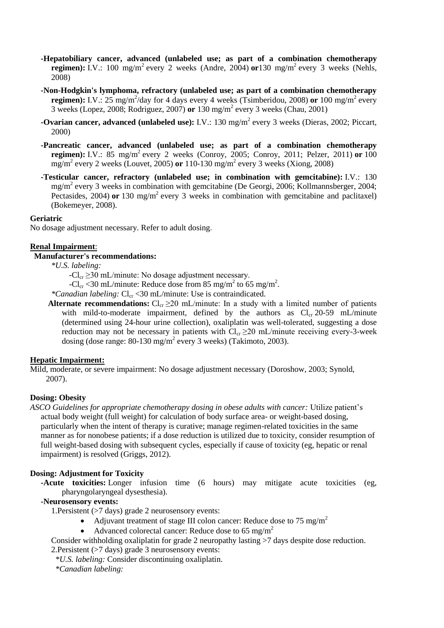- **-Hepatobiliary cancer, advanced (unlabeled use; as part of a combination chemotherapy regimen):** I.V.: 100 mg/m<sup>2</sup> every 2 weeks (Andre, 2004) **or**130 mg/m<sup>2</sup> every 3 weeks (Nehls, 2008)
- **-Non-Hodgkin's lymphoma, refractory (unlabeled use; as part of a combination chemotherapy regimen):** I.V.:  $25 \text{ mg/m}^2/\text{day}$  for 4 days every 4 weeks (Tsimberidou, 2008) or 100 mg/m<sup>2</sup> every 3 weeks (Lopez, 2008; Rodriguez, 2007) **or** 130 mg/m<sup>2</sup> every 3 weeks (Chau, 2001)
- **-Ovarian cancer, advanced (unlabeled use):** I.V.: 130 mg/m<sup>2</sup> every 3 weeks (Dieras, 2002; Piccart, 2000)
- **-Pancreatic cancer, advanced (unlabeled use; as part of a combination chemotherapy regimen):** I.V.: 85 mg/m<sup>2</sup> every 2 weeks (Conroy, 2005; Conroy, 2011; Pelzer, 2011) **or** 100 mg/m<sup>2</sup> every 2 weeks (Louvet, 2005) **or** 110-130 mg/m<sup>2</sup> every 3 weeks (Xiong, 2008)
- **-Testicular cancer, refractory (unlabeled use; in combination with gemcitabine):** I.V.: 130 mg/m<sup>2</sup> every 3 weeks in combination with gemcitabine (De Georgi, 2006; Kollmannsberger, 2004; Pectasides, 2004) or 130 mg/m<sup>2</sup> every 3 weeks in combination with gemcitabine and paclitaxel) (Bokemeyer, 2008).

#### **Geriatric**

No dosage adjustment necessary. Refer to adult dosing.

#### **Renal Impairment**:

# **Manufacturer's recommendations:**

*\*U.S. labeling:*

 $-Cl_{cr} \geq 30$  mL/minute: No dosage adjustment necessary.

-Cl<sub>cr</sub> <30 mL/minute: Reduce dose from 85 mg/m<sup>2</sup> to 65 mg/m<sup>2</sup>.

*\*Canadian labeling:*  $Cl_{cr}$  < 30 mL/minute: Use is contraindicated.

**Alternate recommendations:**  $Cl_{cr} \geq 20$  mL/minute: In a study with a limited number of patients with mild-to-moderate impairment, defined by the authors as  $Cl_{cr}$  20-59 mL/minute (determined using 24-hour urine collection), oxaliplatin was well-tolerated, suggesting a dose reduction may not be necessary in patients with  $Cl_{cr} \ge 20$  mL/minute receiving every-3-week dosing (dose range:  $80-130$  mg/m<sup>2</sup> every 3 weeks) (Takimoto, 2003).

#### **Hepatic Impairment:**

Mild, moderate, or severe impairment: No dosage adjustment necessary (Doroshow, 2003; Synold, 2007).

### **Dosing: Obesity**

*ASCO Guidelines for appropriate chemotherapy dosing in obese adults with cancer:* Utilize patient's actual body weight (full weight) for calculation of body surface area- or weight-based dosing, particularly when the intent of therapy is curative; manage regimen-related toxicities in the same manner as for nonobese patients; if a dose reduction is utilized due to toxicity, consider resumption of full weight-based dosing with subsequent cycles, especially if cause of toxicity (eg, hepatic or renal impairment) is resolved (Griggs, 2012).

### **Dosing: Adjustment for Toxicity**

**-Acute toxicities:** Longer infusion time (6 hours) may mitigate acute toxicities (eg, pharyngolaryngeal dysesthesia).

# **-Neurosensory events:**

1.Persistent (>7 days) grade 2 neurosensory events:

- Adjuvant treatment of stage III colon cancer: Reduce dose to 75 mg/m<sup>2</sup>
- Advanced colorectal cancer: Reduce dose to 65 mg/m<sup>2</sup>

Consider withholding oxaliplatin for grade 2 neuropathy lasting >7 days despite dose reduction. 2.Persistent (>7 days) grade 3 neurosensory events:

 *\*U.S. labeling:* Consider discontinuing oxaliplatin.

 *\*Canadian labeling:*